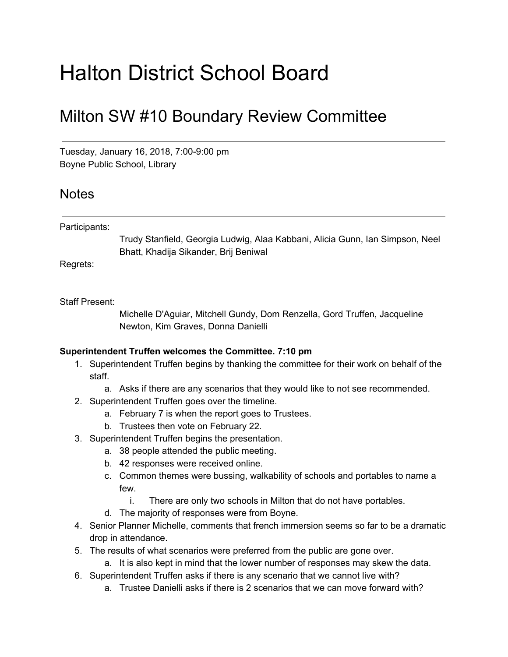# Halton District School Board

## Milton SW #10 Boundary Review Committee

Tuesday, January 16, 2018, 7:00-9:00 pm Boyne Public School, Library

### **Notes**

#### Participants:

Trudy Stanfield, Georgia Ludwig, Alaa Kabbani, Alicia Gunn, Ian Simpson, Neel Bhatt, Khadija Sikander, Brij Beniwal

Regrets:

#### Staff Present:

Michelle D'Aguiar, Mitchell Gundy, Dom Renzella, Gord Truffen, Jacqueline Newton, Kim Graves, Donna Danielli

#### **Superintendent Truffen welcomes the Committee. 7:10 pm**

- 1. Superintendent Truffen begins by thanking the committee for their work on behalf of the staff.
	- a. Asks if there are any scenarios that they would like to not see recommended.
- 2. Superintendent Truffen goes over the timeline.
	- a. February 7 is when the report goes to Trustees.
	- b. Trustees then vote on February 22.
- 3. Superintendent Truffen begins the presentation.
	- a. 38 people attended the public meeting.
	- b. 42 responses were received online.
	- c. Common themes were bussing, walkability of schools and portables to name a few.
		- i. There are only two schools in Milton that do not have portables.
	- d. The majority of responses were from Boyne.
- 4. Senior Planner Michelle, comments that french immersion seems so far to be a dramatic drop in attendance.
- 5. The results of what scenarios were preferred from the public are gone over.
	- a. It is also kept in mind that the lower number of responses may skew the data.
- 6. Superintendent Truffen asks if there is any scenario that we cannot live with?
	- a. Trustee Danielli asks if there is 2 scenarios that we can move forward with?